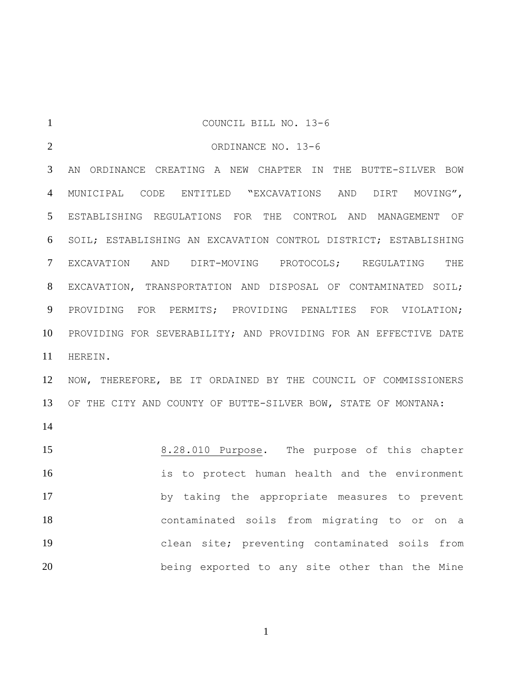| $\mathbf{1}$   | COUNCIL BILL NO. 13-6                                           |  |  |
|----------------|-----------------------------------------------------------------|--|--|
| $\overline{2}$ | ORDINANCE NO. 13-6                                              |  |  |
| 3              | AN ORDINANCE CREATING A NEW CHAPTER IN THE BUTTE-SILVER BOW     |  |  |
| $\overline{4}$ | MUNICIPAL CODE ENTITLED "EXCAVATIONS AND DIRT MOVING",          |  |  |
| 5              | ESTABLISHING REGULATIONS FOR THE CONTROL AND MANAGEMENT OF      |  |  |
| 6              | SOIL; ESTABLISHING AN EXCAVATION CONTROL DISTRICT; ESTABLISHING |  |  |
| $\tau$         | EXCAVATION AND DIRT-MOVING PROTOCOLS; REGULATING THE            |  |  |
| 8              | EXCAVATION, TRANSPORTATION AND DISPOSAL OF CONTAMINATED SOIL;   |  |  |
| 9              | PROVIDING FOR PERMITS; PROVIDING PENALTIES FOR VIOLATION;       |  |  |
| 10             | PROVIDING FOR SEVERABILITY; AND PROVIDING FOR AN EFFECTIVE DATE |  |  |
| 11             | HEREIN.                                                         |  |  |
| 12             | NOW, THEREFORE, BE IT ORDAINED BY THE COUNCIL OF COMMISSIONERS  |  |  |
| 13             | OF THE CITY AND COUNTY OF BUTTE-SILVER BOW, STATE OF MONTANA:   |  |  |
| 14             |                                                                 |  |  |
| 15             | 8.28.010 Purpose. The purpose of this chapter                   |  |  |
| 16             | is to protect human health and the environment                  |  |  |
| 17             | by taking the appropriate measures to prevent                   |  |  |
| 18             | contaminated soils from migrating to or on a                    |  |  |
| 19             | clean site; preventing contaminated soils from                  |  |  |
| 20             | being exported to any site other than the Mine                  |  |  |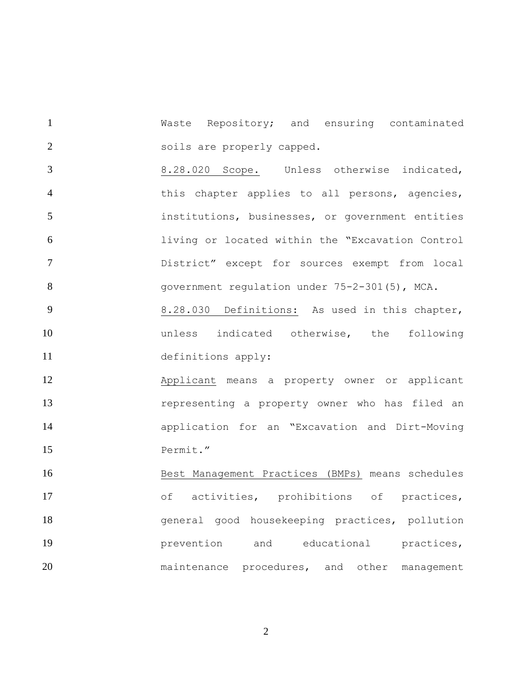Waste Repository; and ensuring contaminated soils are properly capped.

 8.28.020 Scope. Unless otherwise indicated, this chapter applies to all persons, agencies, institutions, businesses, or government entities living or located within the "Excavation Control District" except for sources exempt from local government regulation under 75-2-301(5), MCA.

9 8.28.030 Definitions: As used in this chapter, unless indicated otherwise, the following definitions apply:

 Applicant means a property owner or applicant representing a property owner who has filed an application for an "Excavation and Dirt-Moving 15 Permit."

 Best Management Practices (BMPs) means schedules of activities, prohibitions of practices, general good housekeeping practices, pollution prevention and educational practices, maintenance procedures, and other management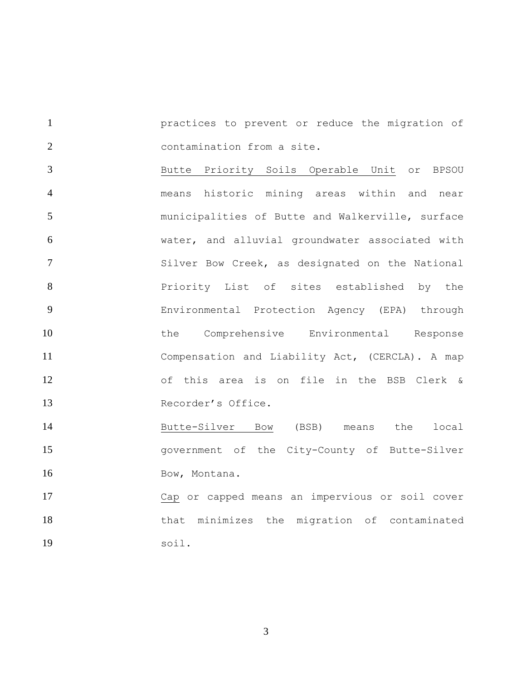practices to prevent or reduce the migration of contamination from a site.

 Butte Priority Soils Operable Unit or BPSOU means historic mining areas within and near municipalities of Butte and Walkerville, surface water, and alluvial groundwater associated with Silver Bow Creek, as designated on the National **8** Priority List of sites established by the Environmental Protection Agency (EPA) through the Comprehensive Environmental Response Compensation and Liability Act, (CERCLA). A map of this area is on file in the BSB Clerk & Recorder's Office.

 Butte-Silver Bow (BSB) means the local government of the City-County of Butte-Silver 16 Bow, Montana.

 Cap or capped means an impervious or soil cover that minimizes the migration of contaminated soil.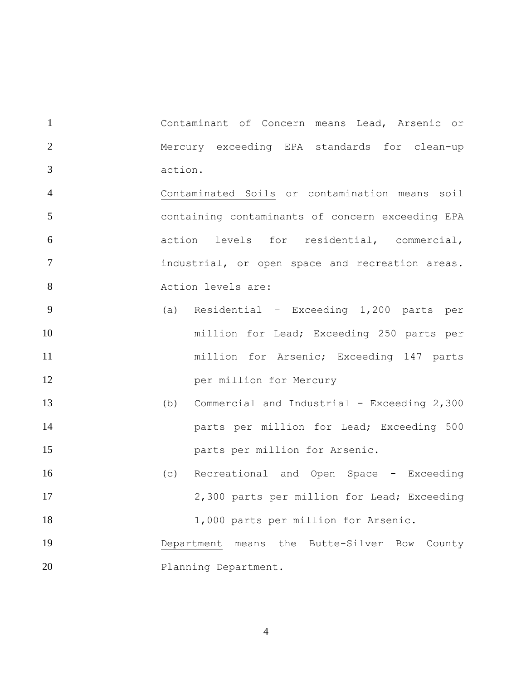Contaminant of Concern means Lead, Arsenic or Mercury exceeding EPA standards for clean-up action.

 Contaminated Soils or contamination means soil containing contaminants of concern exceeding EPA action levels for residential, commercial, industrial, or open space and recreation areas. 8 Action levels are:

- (a) Residential Exceeding 1,200 parts per million for Lead; Exceeding 250 parts per million for Arsenic; Exceeding 147 parts **per million for Mercury**
- (b) Commercial and Industrial Exceeding 2,300 **parts per million for Lead; Exceeding 500** parts per million for Arsenic.
- (c) Recreational and Open Space Exceeding 2,300 parts per million for Lead; Exceeding 18 1,000 parts per million for Arsenic.
- Department means the Butte-Silver Bow County 20 Planning Department.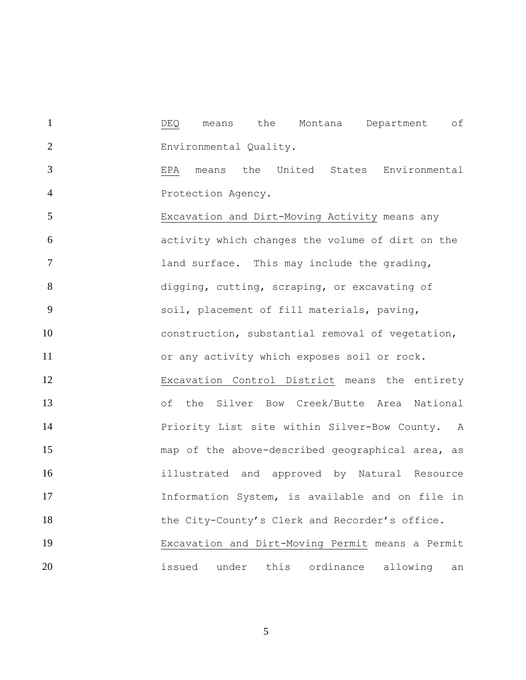DEQ means the Montana Department of Environmental Quality.

 EPA means the United States Environmental Protection Agency.

 Excavation and Dirt-Moving Activity means any activity which changes the volume of dirt on the **1** 1 land surface. This may include the grading, digging, cutting, scraping, or excavating of soil, placement of fill materials, paving, 10 construction, substantial removal of vegetation, or any activity which exposes soil or rock. Excavation Control District means the entirety of the Silver Bow Creek/Butte Area National Priority List site within Silver-Bow County. A map of the above-described geographical area, as illustrated and approved by Natural Resource Information System, is available and on file in 18 the City-County's Clerk and Recorder's office. Excavation and Dirt-Moving Permit means a Permit issued under this ordinance allowing an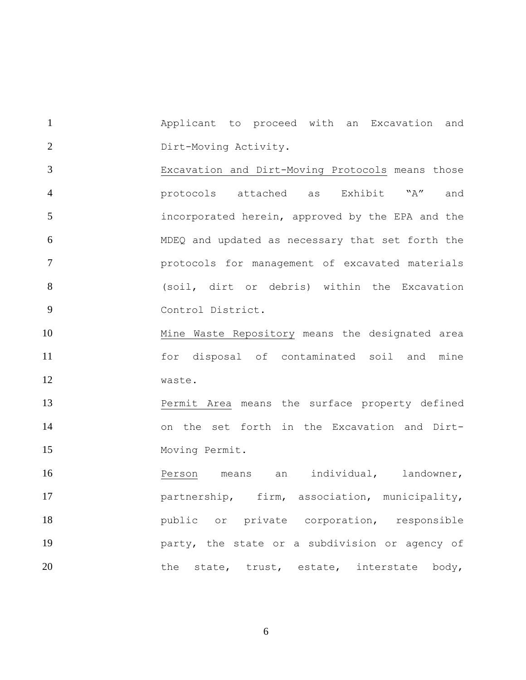Applicant to proceed with an Excavation and Dirt-Moving Activity.

 Excavation and Dirt-Moving Protocols means those protocols attached as Exhibit "A" and incorporated herein, approved by the EPA and the MDEQ and updated as necessary that set forth the protocols for management of excavated materials (soil, dirt or debris) within the Excavation Control District.

 Mine Waste Repository means the designated area for disposal of contaminated soil and mine waste.

 Permit Area means the surface property defined on the set forth in the Excavation and Dirt-Moving Permit.

 Person means an individual, landowner, **partnership**, firm, association, municipality, **public** or private corporation, responsible party, the state or a subdivision or agency of 20 the state, trust, estate, interstate body,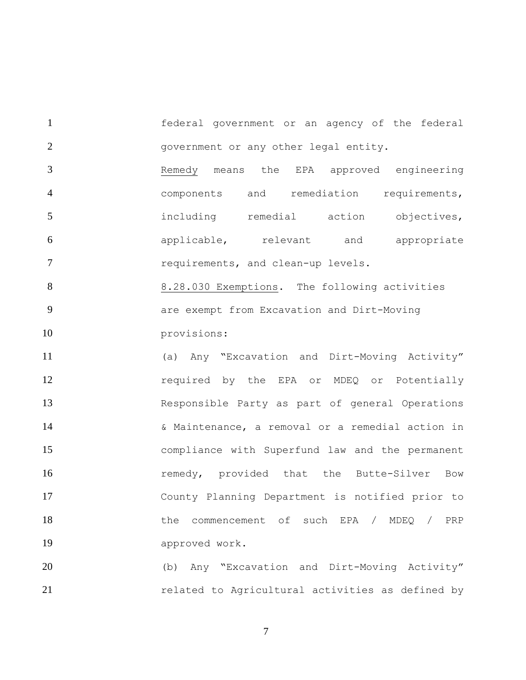federal government or an agency of the federal government or any other legal entity.

 Remedy means the EPA approved engineering components and remediation requirements, including remedial action objectives, applicable, relevant and appropriate requirements, and clean-up levels.

 8.28.030 Exemptions. The following activities are exempt from Excavation and Dirt-Moving 10 provisions:

 (a) Any "Excavation and Dirt-Moving Activity" **required by the EPA or MDEQ or Potentially**  Responsible Party as part of general Operations & Maintenance, a removal or a remedial action in compliance with Superfund law and the permanent **remedy**, provided that the Butte-Silver Bow County Planning Department is notified prior to 18 the commencement of such EPA / MDEQ / PRP approved work.

 (b) Any "Excavation and Dirt-Moving Activity" **related to Agricultural activities as defined by**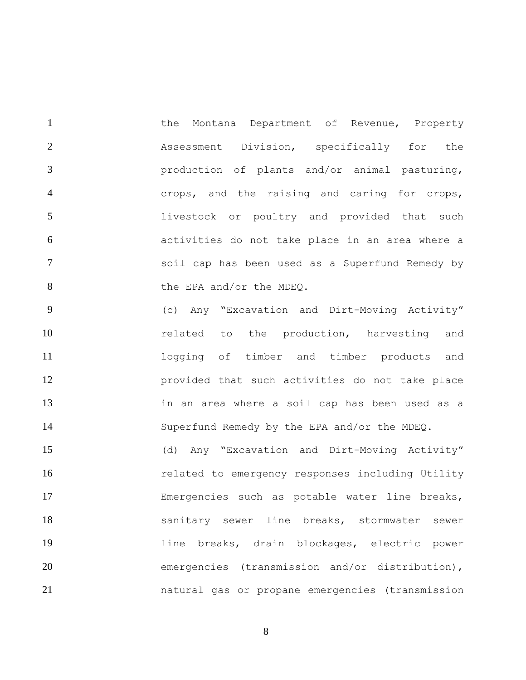1 the Montana Department of Revenue, Property Assessment Division, specifically for the production of plants and/or animal pasturing, crops, and the raising and caring for crops, 5 1ivestock or poultry and provided that such activities do not take place in an area where a soil cap has been used as a Superfund Remedy by 8 the EPA and/or the MDEQ.

 (c) Any "Excavation and Dirt-Moving Activity" 10 10 related to the production, harvesting and logging of timber and timber products and provided that such activities do not take place in an area where a soil cap has been used as a Superfund Remedy by the EPA and/or the MDEQ.

 (d) Any "Excavation and Dirt-Moving Activity" **related to emergency responses including Utility**  Emergencies such as potable water line breaks, sanitary sewer line breaks, stormwater sewer line breaks, drain blockages, electric power 20 emergencies (transmission and/or distribution), natural gas or propane emergencies (transmission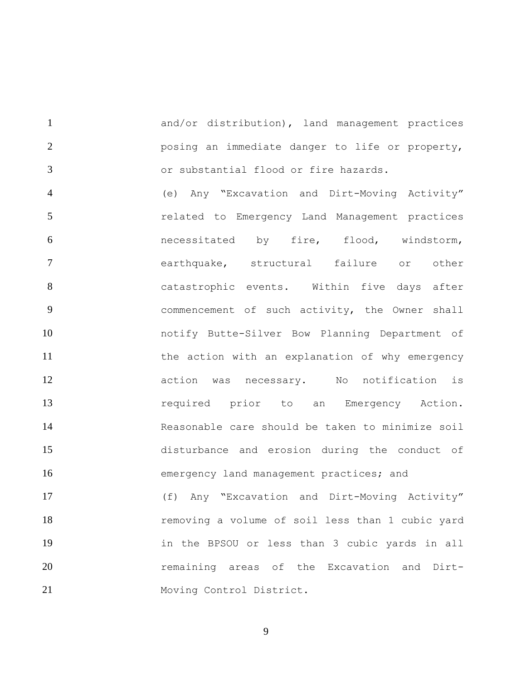and/or distribution), land management practices posing an immediate danger to life or property, or substantial flood or fire hazards.

 (e) Any "Excavation and Dirt-Moving Activity" related to Emergency Land Management practices necessitated by fire, flood, windstorm, earthquake, structural failure or other catastrophic events. Within five days after commencement of such activity, the Owner shall notify Butte-Silver Bow Planning Department of 11 the action with an explanation of why emergency action was necessary. No notification is required prior to an Emergency Action. Reasonable care should be taken to minimize soil disturbance and erosion during the conduct of **Example 20** emergency land management practices; and (f) Any "Excavation and Dirt-Moving Activity" removing a volume of soil less than 1 cubic yard in the BPSOU or less than 3 cubic yards in all **120** remaining areas of the Excavation and Dirt-21 Moving Control District.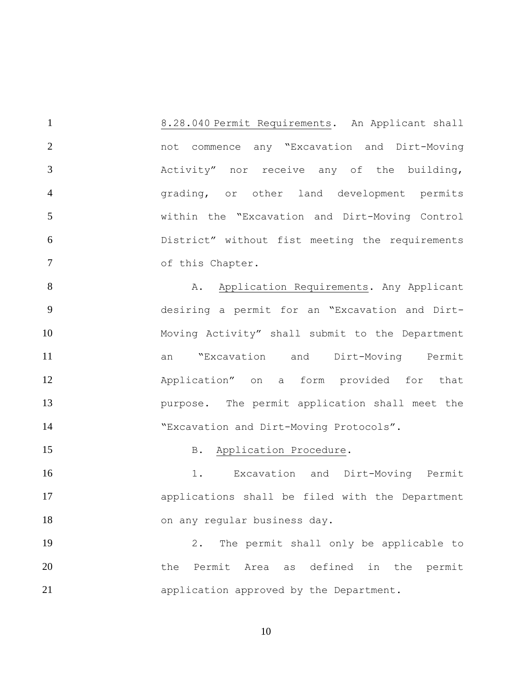8.28.040 Permit Requirements. An Applicant shall not commence any "Excavation and Dirt-Moving Activity" nor receive any of the building, grading, or other land development permits within the "Excavation and Dirt-Moving Control District" without fist meeting the requirements 7 of this Chapter.

8 A. Application Requirements. Any Applicant desiring a permit for an "Excavation and Dirt- Moving Activity" shall submit to the Department an "Excavation and Dirt-Moving Permit Application" on a form provided for that purpose. The permit application shall meet the "Excavation and Dirt-Moving Protocols".

## 15 B. Application Procedure.

16 1. Excavation and Dirt-Moving Permit applications shall be filed with the Department 18 on any regular business day.

 2. The permit shall only be applicable to 20 the Permit Area as defined in the permit application approved by the Department.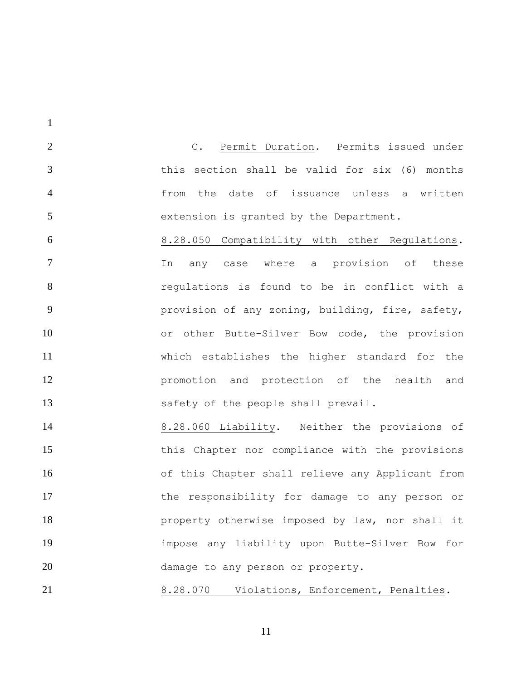C. Permit Duration. Permits issued under this section shall be valid for six (6) months from the date of issuance unless a written extension is granted by the Department.

 8.28.050 Compatibility with other Regulations. In any case where a provision of these regulations is found to be in conflict with a provision of any zoning, building, fire, safety, or other Butte-Silver Bow code, the provision which establishes the higher standard for the promotion and protection of the health and safety of the people shall prevail.

 8.28.060 Liability. Neither the provisions of this Chapter nor compliance with the provisions of this Chapter shall relieve any Applicant from the responsibility for damage to any person or **property otherwise imposed by law, nor shall it**  impose any liability upon Butte-Silver Bow for 20 damage to any person or property.

8.28.070 Violations, Enforcement, Penalties.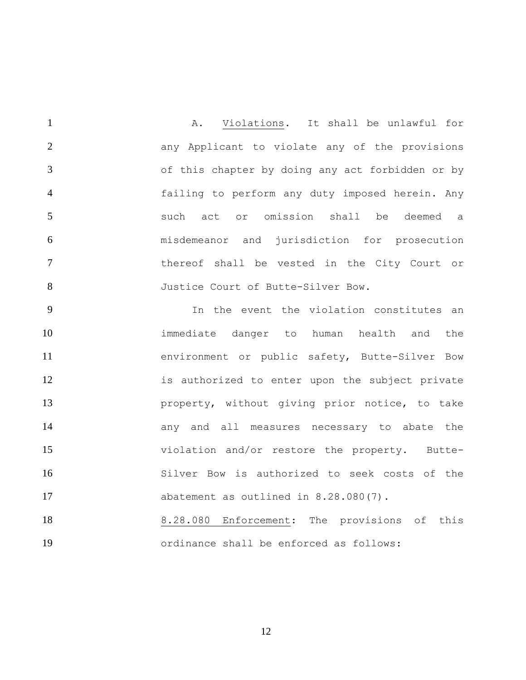A. Violations. It shall be unlawful for any Applicant to violate any of the provisions of this chapter by doing any act forbidden or by failing to perform any duty imposed herein. Any such act or omission shall be deemed a misdemeanor and jurisdiction for prosecution thereof shall be vested in the City Court or 8 Justice Court of Butte-Silver Bow.

 In the event the violation constitutes an immediate danger to human health and the environment or public safety, Butte-Silver Bow 12 is authorized to enter upon the subject private property, without giving prior notice, to take **any and all measures necessary to abate the**  violation and/or restore the property. Butte- Silver Bow is authorized to seek costs of the 17 abatement as outlined in 8.28.080(7).

18 8.28.080 Enforcement: The provisions of this ordinance shall be enforced as follows: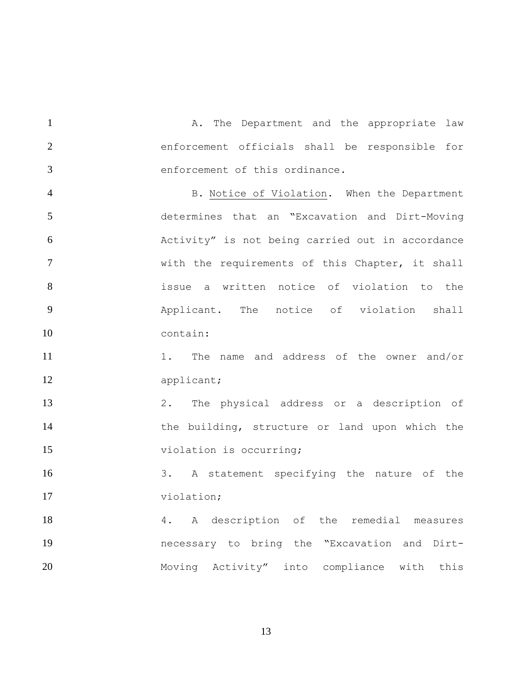1 A. The Department and the appropriate law enforcement officials shall be responsible for enforcement of this ordinance.

4 B. Notice of Violation. When the Department determines that an "Excavation and Dirt-Moving Activity" is not being carried out in accordance with the requirements of this Chapter, it shall issue a written notice of violation to the Applicant. The notice of violation shall contain:

 1. The name and address of the owner and/or 12 applicant;

 2. The physical address or a description of 14 the building, structure or land upon which the 15 violation is occurring;

 3. A statement specifying the nature of the violation;

18 4. A description of the remedial measures necessary to bring the "Excavation and Dirt-20 Moving Activity" into compliance with this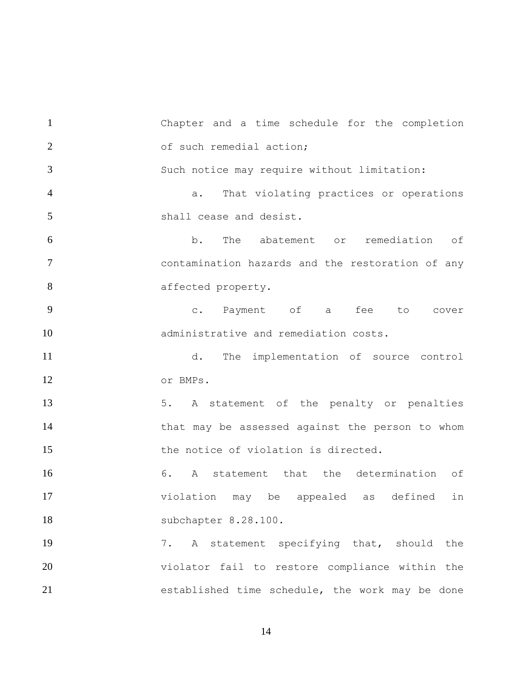Chapter and a time schedule for the completion 2 of such remedial action; Such notice may require without limitation: a. That violating practices or operations shall cease and desist. b. The abatement or remediation of contamination hazards and the restoration of any 8 affected property. c. Payment of a fee to cover administrative and remediation costs. d. The implementation of source control or BMPs. 13 5. A statement of the penalty or penalties that may be assessed against the person to whom 15 the notice of violation is directed. 6. A statement that the determination of violation may be appealed as defined in subchapter 8.28.100. 7. A statement specifying that, should the violator fail to restore compliance within the established time schedule, the work may be done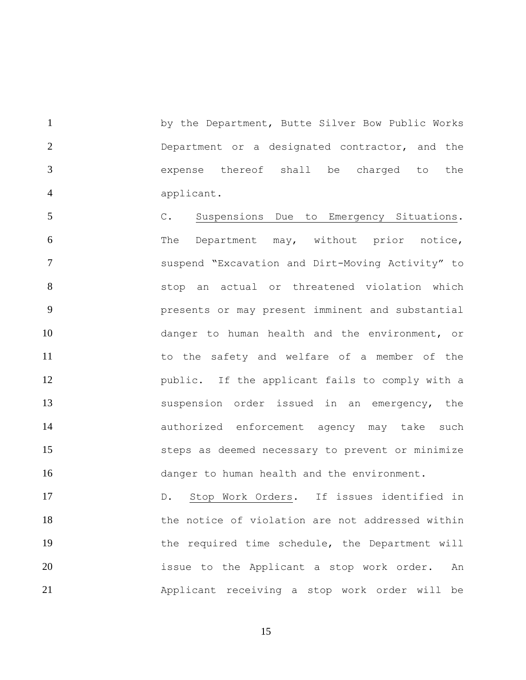1 by the Department, Butte Silver Bow Public Works Department or a designated contractor, and the expense thereof shall be charged to the applicant.

 C. Suspensions Due to Emergency Situations. The Department may, without prior notice, suspend "Excavation and Dirt-Moving Activity" to stop an actual or threatened violation which presents or may present imminent and substantial danger to human health and the environment, or to the safety and welfare of a member of the public. If the applicant fails to comply with a suspension order issued in an emergency, the authorized enforcement agency may take such steps as deemed necessary to prevent or minimize 16 danger to human health and the environment.

 D. Stop Work Orders. If issues identified in 18 the notice of violation are not addressed within 19 the required time schedule, the Department will issue to the Applicant a stop work order. An Applicant receiving a stop work order will be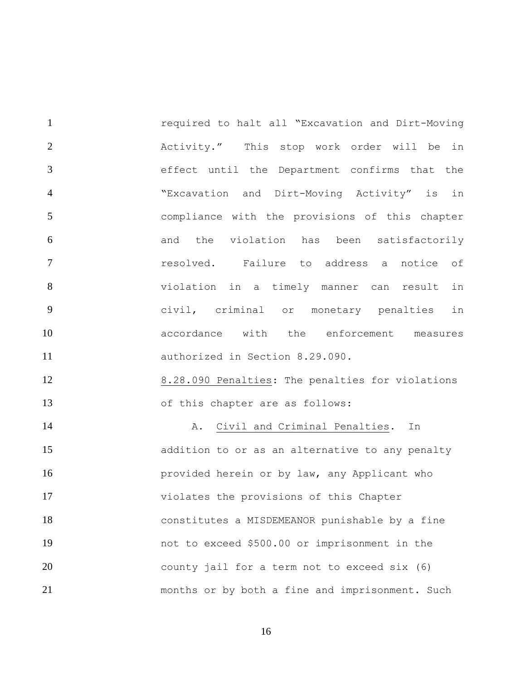required to halt all "Excavation and Dirt-Moving Activity." This stop work order will be in effect until the Department confirms that the "Excavation and Dirt-Moving Activity" is in compliance with the provisions of this chapter and the violation has been satisfactorily resolved. Failure to address a notice of violation in a timely manner can result in civil, criminal or monetary penalties in accordance with the enforcement measures authorized in Section 8.29.090.

 8.28.090 Penalties: The penalties for violations of this chapter are as follows:

 A. Civil and Criminal Penalties**.** In addition to or as an alternative to any penalty **provided herein or by law, any Applicant who**  violates the provisions of this Chapter constitutes a MISDEMEANOR punishable by a fine not to exceed \$500.00 or imprisonment in the county jail for a term not to exceed six (6) months or by both a fine and imprisonment. Such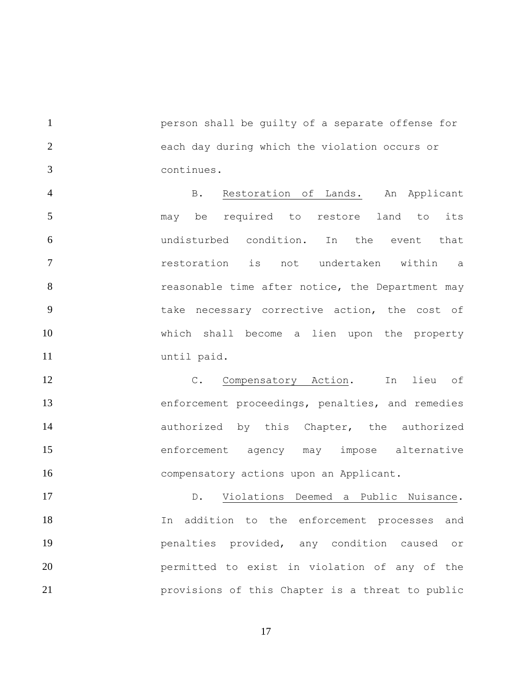person shall be guilty of a separate offense for each day during which the violation occurs or continues.

 B. Restoration of Lands. An Applicant may be required to restore land to its undisturbed condition. In the event that restoration is not undertaken within a **8** reasonable time after notice, the Department may take necessary corrective action, the cost of which shall become a lien upon the property until paid.

12 C. Compensatory Action. In lieu of enforcement proceedings, penalties, and remedies **authorized** by this Chapter, the authorized enforcement agency may impose alternative compensatory actions upon an Applicant.

 D. Violations Deemed a Public Nuisance. In addition to the enforcement processes and penalties provided, any condition caused or permitted to exist in violation of any of the provisions of this Chapter is a threat to public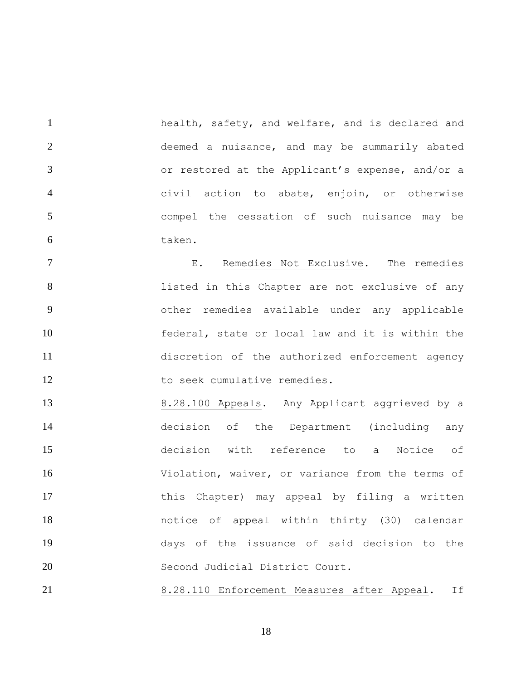1 health, safety, and welfare, and is declared and deemed a nuisance, and may be summarily abated or restored at the Applicant's expense, and/or a civil action to abate, enjoin, or otherwise compel the cessation of such nuisance may be taken.

 E. Remedies Not Exclusive. The remedies **1isted in this Chapter are not exclusive of any**  other remedies available under any applicable federal, state or local law and it is within the discretion of the authorized enforcement agency 12 to seek cumulative remedies.

 8.28.100 Appeals. Any Applicant aggrieved by a decision of the Department (including any decision with reference to a Notice of Violation, waiver, or variance from the terms of 17 this Chapter) may appeal by filing a written notice of appeal within thirty (30) calendar days of the issuance of said decision to the Second Judicial District Court.

8.28.110 Enforcement Measures after Appeal. If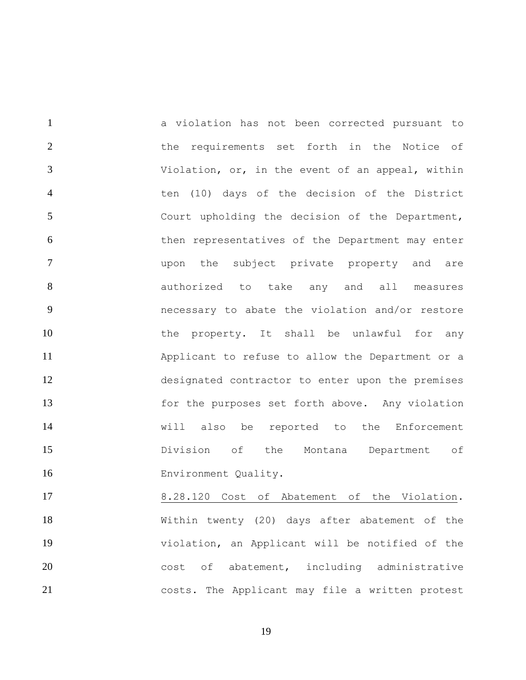a violation has not been corrected pursuant to 2 the requirements set forth in the Notice of Violation, or, in the event of an appeal, within ten (10) days of the decision of the District Court upholding the decision of the Department, then representatives of the Department may enter upon the subject private property and are 8 authorized to take any and all measures necessary to abate the violation and/or restore 10 the property. It shall be unlawful for any Applicant to refuse to allow the Department or a designated contractor to enter upon the premises for the purposes set forth above. Any violation will also be reported to the Enforcement Division of the Montana Department of Environment Quality.

 8.28.120 Cost of Abatement of the Violation. Within twenty (20) days after abatement of the violation, an Applicant will be notified of the 20 cost of abatement, including administrative costs. The Applicant may file a written protest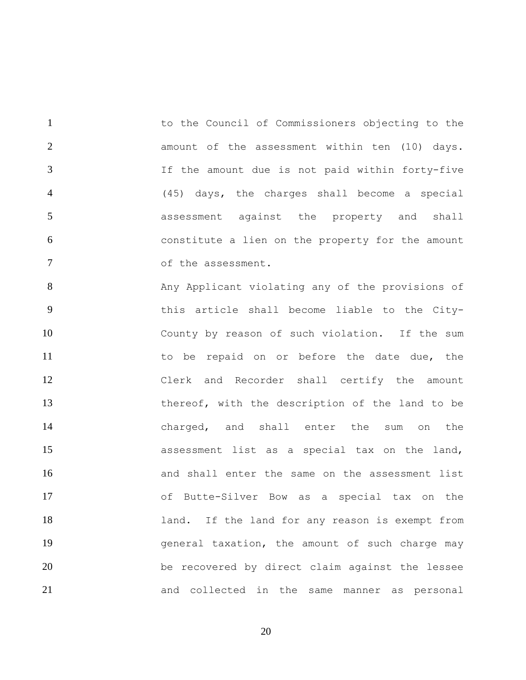1 to the Council of Commissioners objecting to the **2** amount of the assessment within ten (10) days. If the amount due is not paid within forty-five (45) days, the charges shall become a special assessment against the property and shall constitute a lien on the property for the amount 7 of the assessment.

8 Any Applicant violating any of the provisions of this article shall become liable to the City- County by reason of such violation. If the sum 11 to be repaid on or before the date due, the Clerk and Recorder shall certify the amount thereof, with the description of the land to be charged, and shall enter the sum on the assessment list as a special tax on the land, and shall enter the same on the assessment list of Butte-Silver Bow as a special tax on the 18 18 1and. If the land for any reason is exempt from general taxation, the amount of such charge may be recovered by direct claim against the lessee and collected in the same manner as personal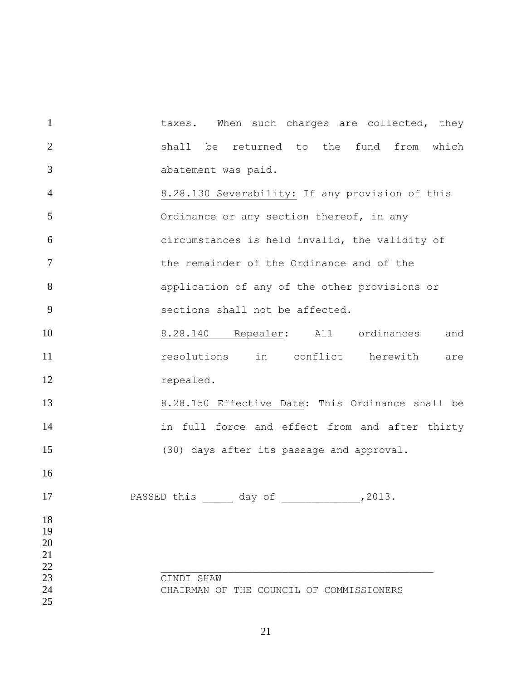1 taxes. When such charges are collected, they shall be returned to the fund from which abatement was paid. 8.28.130 Severability: If any provision of this **S** Ordinance or any section thereof, in any circumstances is held invalid, the validity of the remainder of the Ordinance and of the application of any of the other provisions or sections shall not be affected. 8.28.140 Repealer: All ordinances and **1** resolutions in conflict herewith are repealed. 8.28.150 Effective Date: This Ordinance shall be 14 in full force and effect from and after thirty (30) days after its passage and approval. 17 PASSED this <u>and provide</u> day of <u>and provide</u>, 2013. \_\_\_\_\_\_\_\_\_\_\_\_\_\_\_\_\_\_\_\_\_\_\_\_\_\_\_\_\_\_\_\_\_\_\_\_\_\_\_\_\_\_\_\_\_ CINDI SHAW CHAIRMAN OF THE COUNCIL OF COMMISSIONERS